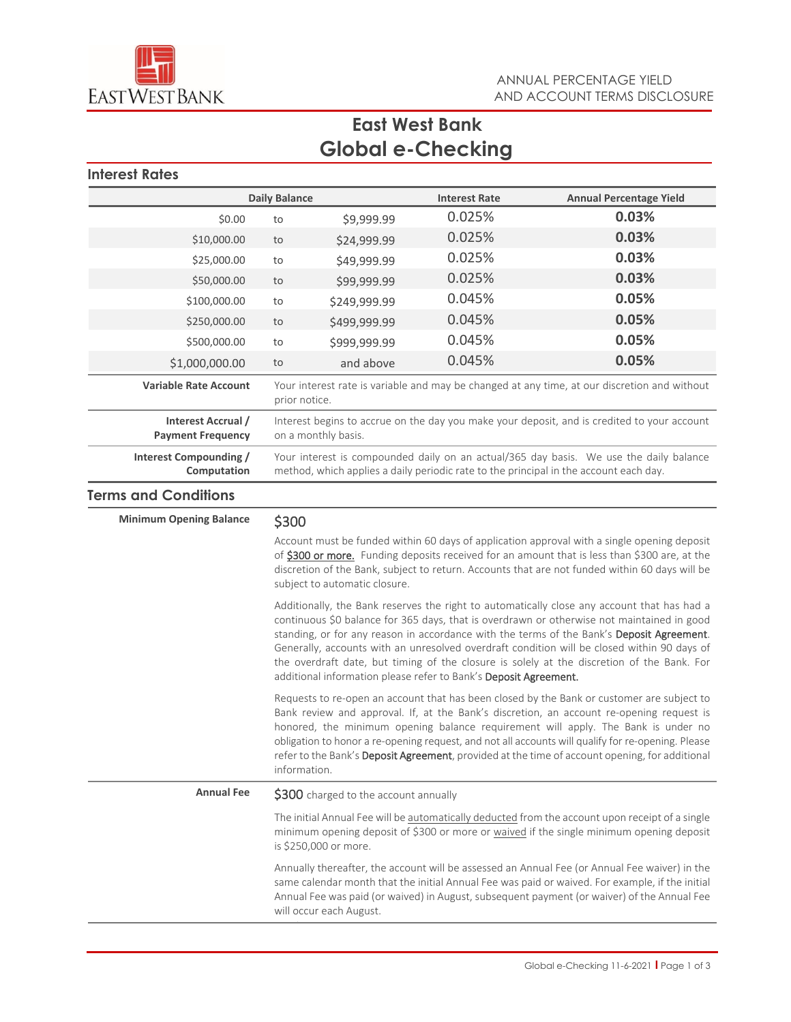

# **East West Bank Global e-Checking**

 **Interest Rates** 

| <b>Daily Balance</b>                           |                                                                                                                    |              | <b>Interest Rate</b> | <b>Annual Percentage Yield</b>                                                                                                                                                  |
|------------------------------------------------|--------------------------------------------------------------------------------------------------------------------|--------------|----------------------|---------------------------------------------------------------------------------------------------------------------------------------------------------------------------------|
| \$0.00                                         | to                                                                                                                 | \$9,999.99   | 0.025%               | 0.03%                                                                                                                                                                           |
| \$10,000.00                                    | to                                                                                                                 | \$24,999.99  | 0.025%               | 0.03%                                                                                                                                                                           |
| \$25,000.00                                    | to                                                                                                                 | \$49,999.99  | 0.025%               | 0.03%                                                                                                                                                                           |
| \$50,000.00                                    | to                                                                                                                 | \$99,999.99  | 0.025%               | 0.03%                                                                                                                                                                           |
| \$100,000.00                                   | to                                                                                                                 | \$249,999.99 | 0.045%               | 0.05%                                                                                                                                                                           |
| \$250,000.00                                   | to                                                                                                                 | \$499,999.99 | 0.045%               | 0.05%                                                                                                                                                                           |
| \$500,000.00                                   | to                                                                                                                 | \$999,999.99 | 0.045%               | 0.05%                                                                                                                                                                           |
| \$1,000,000.00                                 | to                                                                                                                 | and above    | 0.045%               | 0.05%                                                                                                                                                                           |
| <b>Variable Rate Account</b>                   | Your interest rate is variable and may be changed at any time, at our discretion and without<br>prior notice.      |              |                      |                                                                                                                                                                                 |
| Interest Accrual /<br><b>Payment Frequency</b> | Interest begins to accrue on the day you make your deposit, and is credited to your account<br>on a monthly basis. |              |                      |                                                                                                                                                                                 |
| Interest Compounding /<br>Computation          |                                                                                                                    |              |                      | Your interest is compounded daily on an actual/365 day basis. We use the daily balance<br>method, which applies a daily periodic rate to the principal in the account each day. |

### **Terms and Conditions**

# **Minimum Opening Balance \$300**

Account must be funded within 60 days of application approval with a single opening deposit of \$300 or more. Funding deposits received for an amount that is less than \$300 are, at the discretion of the Bank, subject to return. Accounts that are not funded within 60 days will be subject to automatic closure.

Additionally, the Bank reserves the right to automatically close any account that has had a continuous \$0 balance for 365 days, that is overdrawn or otherwise not maintained in good standing, or for any reason in accordance with the terms of the Bank's Deposit Agreement. Generally, accounts with an unresolved overdraft condition will be closed within 90 days of the overdraft date, but timing of the closure is solely at the discretion of the Bank. For additional information please refer to Bank's Deposit Agreement.

Requests to re-open an account that has been closed by the Bank or customer are subject to Bank review and approval. If, at the Bank's discretion, an account re-opening request is honored, the minimum opening balance requirement will apply. The Bank is under no obligation to honor a re-opening request, and not all accounts will qualify for re-opening. Please refer to the Bank's Deposit Agreement, provided at the time of account opening, for additional information.

**Annual Fee** \$300 charged to the account annually

The initial Annual Fee will be automatically deducted from the account upon receipt of a single minimum opening deposit of \$300 or more or waived if the single minimum opening deposit is \$250,000 or more.

Annually thereafter, the account will be assessed an Annual Fee (or Annual Fee waiver) in the same calendar month that the initial Annual Fee was paid or waived. For example, if the initial Annual Fee was paid (or waived) in August, subsequent payment (or waiver) of the Annual Fee will occur each August.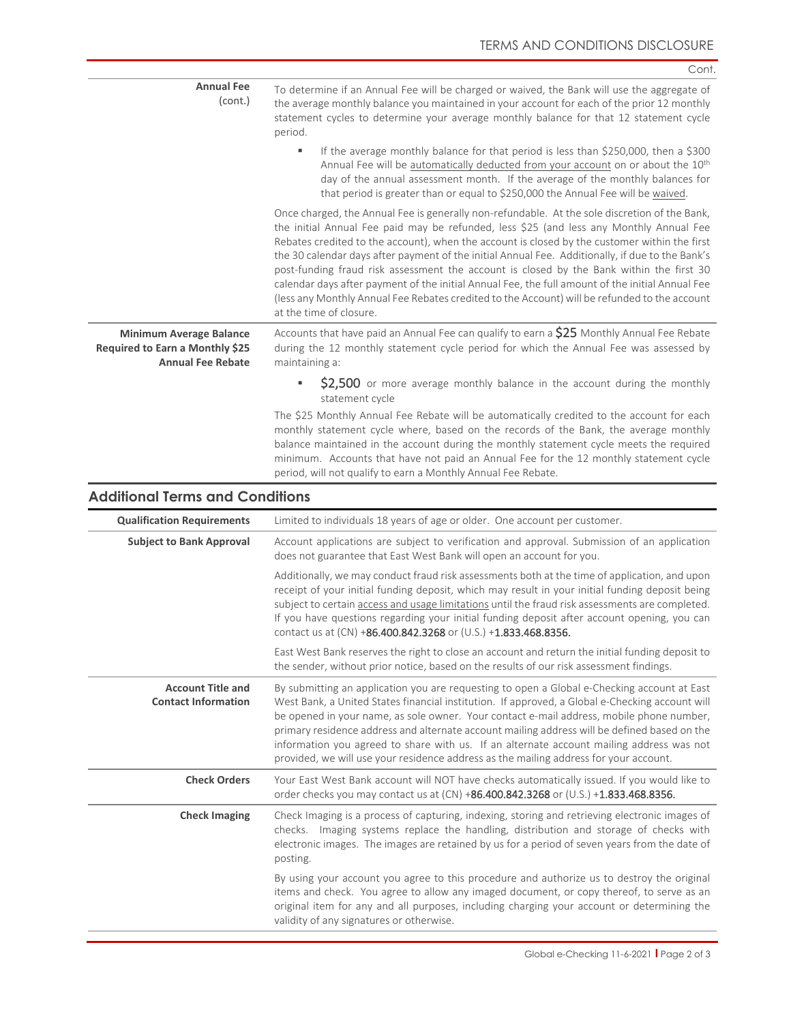|                                                                                               | Cont.                                                                                                                                                                                                                                                                                                                                                                                                                                                                                                                                                                                                                                                                                                                     |
|-----------------------------------------------------------------------------------------------|---------------------------------------------------------------------------------------------------------------------------------------------------------------------------------------------------------------------------------------------------------------------------------------------------------------------------------------------------------------------------------------------------------------------------------------------------------------------------------------------------------------------------------------------------------------------------------------------------------------------------------------------------------------------------------------------------------------------------|
| <b>Annual Fee</b><br>(cont.)                                                                  | To determine if an Annual Fee will be charged or waived, the Bank will use the aggregate of<br>the average monthly balance you maintained in your account for each of the prior 12 monthly<br>statement cycles to determine your average monthly balance for that 12 statement cycle<br>period.                                                                                                                                                                                                                                                                                                                                                                                                                           |
|                                                                                               | If the average monthly balance for that period is less than \$250,000, then a \$300<br>٠<br>Annual Fee will be automatically deducted from your account on or about the 10th<br>day of the annual assessment month. If the average of the monthly balances for<br>that period is greater than or equal to \$250,000 the Annual Fee will be waived.                                                                                                                                                                                                                                                                                                                                                                        |
|                                                                                               | Once charged, the Annual Fee is generally non-refundable. At the sole discretion of the Bank,<br>the initial Annual Fee paid may be refunded, less \$25 (and less any Monthly Annual Fee<br>Rebates credited to the account), when the account is closed by the customer within the first<br>the 30 calendar days after payment of the initial Annual Fee. Additionally, if due to the Bank's<br>post-funding fraud risk assessment the account is closed by the Bank within the first 30<br>calendar days after payment of the initial Annual Fee, the full amount of the initial Annual Fee<br>(less any Monthly Annual Fee Rebates credited to the Account) will be refunded to the account<br>at the time of closure. |
| <b>Minimum Average Balance</b><br>Required to Earn a Monthly \$25<br><b>Annual Fee Rebate</b> | Accounts that have paid an Annual Fee can qualify to earn a \$25 Monthly Annual Fee Rebate<br>during the 12 monthly statement cycle period for which the Annual Fee was assessed by<br>maintaining a:                                                                                                                                                                                                                                                                                                                                                                                                                                                                                                                     |
|                                                                                               | ×,<br>\$2,500 or more average monthly balance in the account during the monthly<br>statement cycle                                                                                                                                                                                                                                                                                                                                                                                                                                                                                                                                                                                                                        |
|                                                                                               | The \$25 Monthly Annual Fee Rebate will be automatically credited to the account for each<br>monthly statement cycle where, based on the records of the Bank, the average monthly<br>balance maintained in the account during the monthly statement cycle meets the required<br>minimum. Accounts that have not paid an Annual Fee for the 12 monthly statement cycle<br>period, will not qualify to earn a Monthly Annual Fee Rebate.                                                                                                                                                                                                                                                                                    |
| <b>Additional Terms and Conditions</b>                                                        |                                                                                                                                                                                                                                                                                                                                                                                                                                                                                                                                                                                                                                                                                                                           |
| <b>Qualification Requirements</b>                                                             | Limited to individuals 18 years of age or older. One account per customer.                                                                                                                                                                                                                                                                                                                                                                                                                                                                                                                                                                                                                                                |
| <b>Subject to Bank Approval</b>                                                               | Account applications are subject to verification and approval. Submission of an application<br>does not guarantee that East West Bank will open an account for you.                                                                                                                                                                                                                                                                                                                                                                                                                                                                                                                                                       |
|                                                                                               | Additionally, we may conduct fraud risk assessments both at the time of application, and upon<br>receipt of your initial funding deposit, which may result in your initial funding deposit being<br>subject to certain access and usage limitations until the fraud risk assessments are completed.<br>If you have questions regarding your initial funding deposit after account opening, you can<br>contact us at (CN) +86.400.842.3268 or (U.S.) +1.833.468.8356.                                                                                                                                                                                                                                                      |
|                                                                                               | East West Bank reserves the right to close an account and return the initial funding deposit to<br>the sender, without prior notice, based on the results of our risk assessment findings.                                                                                                                                                                                                                                                                                                                                                                                                                                                                                                                                |
| <b>Account Title and</b><br><b>Contact Information</b>                                        | By submitting an application you are requesting to open a Global e-Checking account at East<br>West Bank, a United States financial institution. If approved, a Global e-Checking account will<br>be opened in your name, as sole owner. Your contact e-mail address, mobile phone number,<br>primary residence address and alternate account mailing address will be defined based on the<br>information you agreed to share with us. If an alternate account mailing address was not<br>provided, we will use your residence address as the mailing address for your account.                                                                                                                                           |
| <b>Check Orders</b>                                                                           | Your East West Bank account will NOT have checks automatically issued. If you would like to<br>order checks you may contact us at (CN) +86.400.842.3268 or (U.S.) +1.833.468.8356.                                                                                                                                                                                                                                                                                                                                                                                                                                                                                                                                        |
| <b>Check Imaging</b>                                                                          | Check Imaging is a process of capturing, indexing, storing and retrieving electronic images of<br>checks. Imaging systems replace the handling, distribution and storage of checks with<br>electronic images. The images are retained by us for a period of seven years from the date of<br>posting.                                                                                                                                                                                                                                                                                                                                                                                                                      |
|                                                                                               | By using your account you agree to this procedure and authorize us to destroy the original<br>items and check. You agree to allow any imaged document, or copy thereof, to serve as an<br>original item for any and all purposes, including charging your account or determining the<br>validity of any signatures or otherwise.                                                                                                                                                                                                                                                                                                                                                                                          |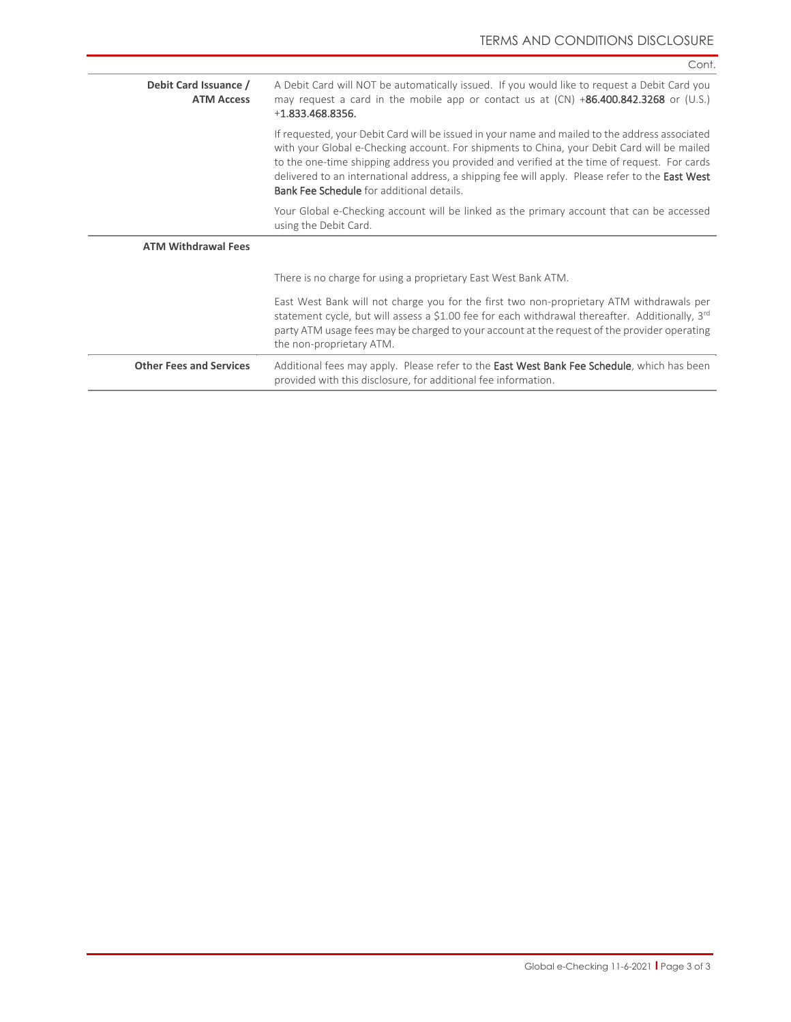|                                            | Cont.                                                                                                                                                                                                                                                                                                                                                                                                                                                |
|--------------------------------------------|------------------------------------------------------------------------------------------------------------------------------------------------------------------------------------------------------------------------------------------------------------------------------------------------------------------------------------------------------------------------------------------------------------------------------------------------------|
| Debit Card Issuance /<br><b>ATM Access</b> | A Debit Card will NOT be automatically issued. If you would like to request a Debit Card you<br>may request a card in the mobile app or contact us at $(CN) +86.400.842.3268$ or $(U.S.)$<br>$+1.833.468.8356.$                                                                                                                                                                                                                                      |
|                                            | If requested, your Debit Card will be issued in your name and mailed to the address associated<br>with your Global e-Checking account. For shipments to China, your Debit Card will be mailed<br>to the one-time shipping address you provided and verified at the time of request. For cards<br>delivered to an international address, a shipping fee will apply. Please refer to the East West<br><b>Bank Fee Schedule</b> for additional details. |
|                                            | Your Global e-Checking account will be linked as the primary account that can be accessed<br>using the Debit Card.                                                                                                                                                                                                                                                                                                                                   |
| <b>ATM Withdrawal Fees</b>                 |                                                                                                                                                                                                                                                                                                                                                                                                                                                      |
|                                            | There is no charge for using a proprietary East West Bank ATM.                                                                                                                                                                                                                                                                                                                                                                                       |
|                                            | East West Bank will not charge you for the first two non-proprietary ATM withdrawals per<br>statement cycle, but will assess a \$1.00 fee for each withdrawal thereafter. Additionally, 3rd<br>party ATM usage fees may be charged to your account at the request of the provider operating<br>the non-proprietary ATM.                                                                                                                              |
| <b>Other Fees and Services</b>             | Additional fees may apply. Please refer to the East West Bank Fee Schedule, which has been<br>provided with this disclosure, for additional fee information.                                                                                                                                                                                                                                                                                         |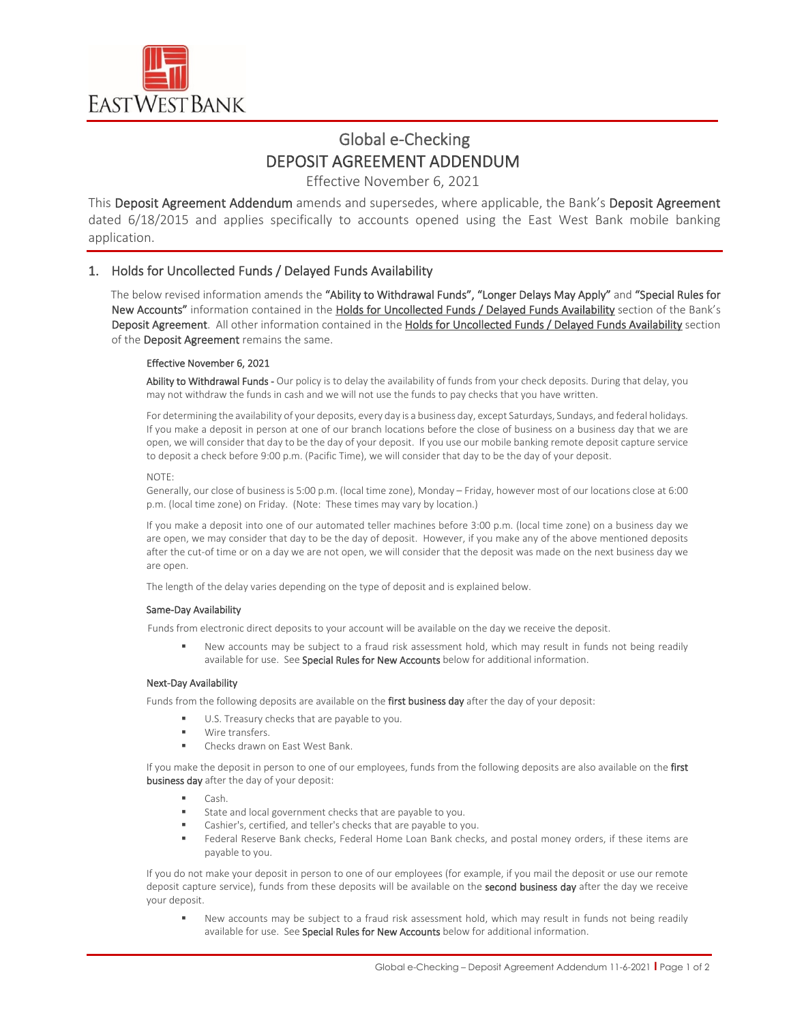

# Global e-Checking DEPOSIT AGREEMENT ADDENDUM

Effective November 6, 2021

This Deposit Agreement Addendum amends and supersedes, where applicable, the Bank's Deposit Agreement dated 6/18/2015 and applies specifically to accounts opened using the East West Bank mobile banking application.

### 1. Holds for Uncollected Funds / Delayed Funds Availability

The below revised information amends the "Ability to Withdrawal Funds", "Longer Delays May Apply" and "Special Rules for New Accounts" information contained in the Holds for Uncollected Funds / Delayed Funds Availability section of the Bank's Deposit Agreement. All other information contained in the Holds for Uncollected Funds / Delayed Funds Availability section of the Deposit Agreement remains the same.

### Effective November 6, 2021

Ability to Withdrawal Funds - Our policy is to delay the availability of funds from your check deposits. During that delay, you may not withdraw the funds in cash and we will not use the funds to pay checks that you have written.

For determining the availability of your deposits, every day is a business day, except Saturdays, Sundays, and federal holidays. If you make a deposit in person at one of our branch locations before the close of business on a business day that we are open, we will consider that day to be the day of your deposit. If you use our mobile banking remote deposit capture service to deposit a check before 9:00 p.m. (Pacific Time), we will consider that day to be the day of your deposit.

### NOTE:

Generally, our close of business is 5:00 p.m. (local time zone), Monday – Friday, however most of our locations close at 6:00 p.m. (local time zone) on Friday. (Note: These times may vary by location.)

If you make a deposit into one of our automated teller machines before 3:00 p.m. (local time zone) on a business day we are open, we may consider that day to be the day of deposit. However, if you make any of the above mentioned deposits after the cut-of time or on a day we are not open, we will consider that the deposit was made on the next business day we are open.

The length of the delay varies depending on the type of deposit and is explained below.

### Same-Day Availability

Funds from electronic direct deposits to your account will be available on the day we receive the deposit.

 New accounts may be subject to a fraud risk assessment hold, which may result in funds not being readily available for use. See Special Rules for New Accounts below for additional information.

### Next-Day Availability

Funds from the following deposits are available on the first business day after the day of your deposit:

- U.S. Treasury checks that are payable to you.
- Wire transfers.
- **EXECUTE: Checks drawn on East West Bank.**

If you make the deposit in person to one of our employees, funds from the following deposits are also available on the first business day after the day of your deposit:

- Cash.
- State and local government checks that are payable to you.
- Cashier's, certified, and teller's checks that are payable to you.
- Federal Reserve Bank checks, Federal Home Loan Bank checks, and postal money orders, if these items are payable to you.

If you do not make your deposit in person to one of our employees (for example, if you mail the deposit or use our remote deposit capture service), funds from these deposits will be available on the second business day after the day we receive your deposit.

 New accounts may be subject to a fraud risk assessment hold, which may result in funds not being readily available for use. See Special Rules for New Accounts below for additional information.